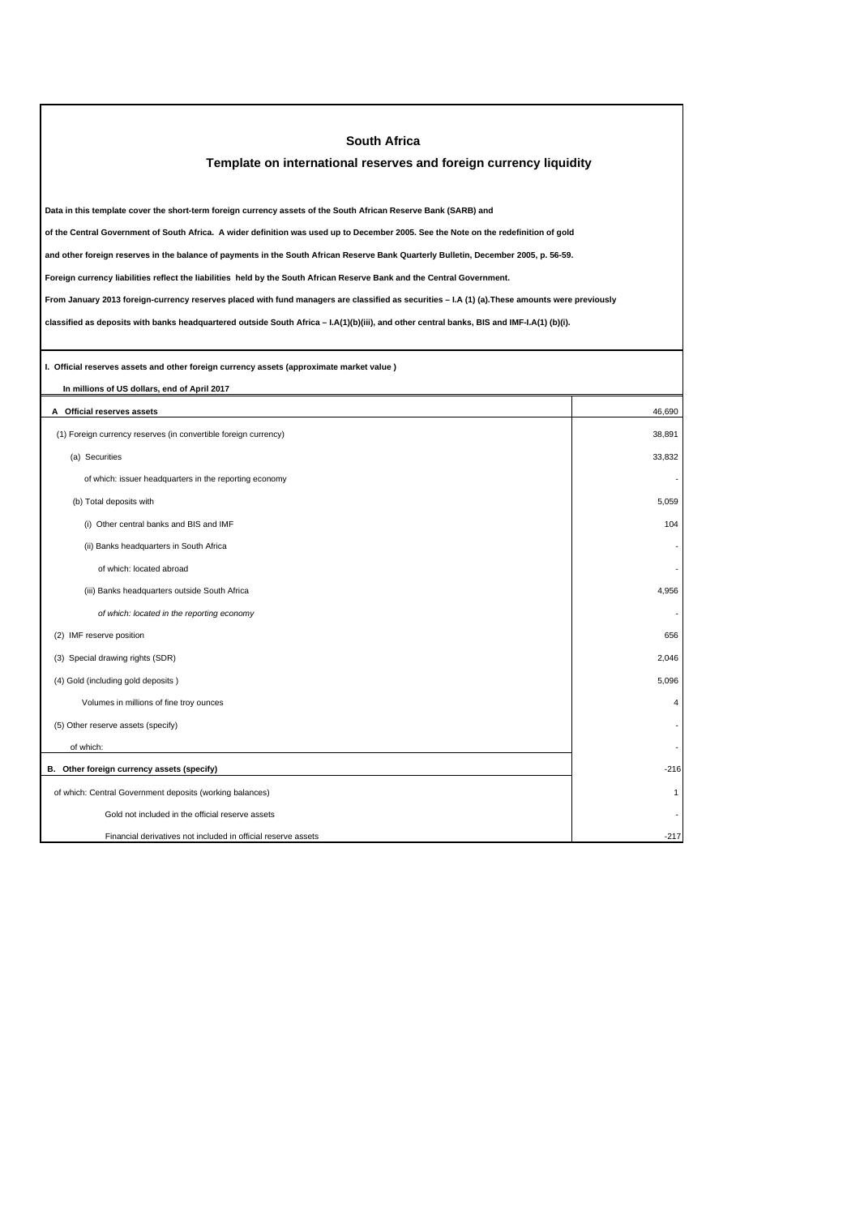| <b>South Africa</b>                                                                                                                             |                         |  |  |
|-------------------------------------------------------------------------------------------------------------------------------------------------|-------------------------|--|--|
| Template on international reserves and foreign currency liquidity                                                                               |                         |  |  |
|                                                                                                                                                 |                         |  |  |
| Data in this template cover the short-term foreign currency assets of the South African Reserve Bank (SARB) and                                 |                         |  |  |
| of the Central Government of South Africa. A wider definition was used up to December 2005. See the Note on the redefinition of gold            |                         |  |  |
| and other foreign reserves in the balance of payments in the South African Reserve Bank Quarterly Bulletin, December 2005, p. 56-59.            |                         |  |  |
| Foreign currency liabilities reflect the liabilities held by the South African Reserve Bank and the Central Government.                         |                         |  |  |
| From January 2013 foreign-currency reserves placed with fund managers are classified as securities - I.A (1) (a). These amounts were previously |                         |  |  |
| classified as deposits with banks headquartered outside South Africa - I.A(1)(b)(iii), and other central banks, BIS and IMF-I.A(1) (b)(i).      |                         |  |  |
|                                                                                                                                                 |                         |  |  |
| I. Official reserves assets and other foreign currency assets (approximate market value)                                                        |                         |  |  |
| In millions of US dollars, end of April 2017                                                                                                    |                         |  |  |
| A Official reserves assets                                                                                                                      | 46,690                  |  |  |
| (1) Foreign currency reserves (in convertible foreign currency)                                                                                 | 38.891                  |  |  |
| (a) Securities                                                                                                                                  | 33,832                  |  |  |
| of which: issuer headquarters in the reporting economy                                                                                          |                         |  |  |
| (b) Total deposits with                                                                                                                         | 5,059                   |  |  |
| (i) Other central banks and BIS and IMF                                                                                                         | 104                     |  |  |
| (ii) Banks headquarters in South Africa                                                                                                         |                         |  |  |
| of which: located abroad                                                                                                                        |                         |  |  |
| (iii) Banks headquarters outside South Africa                                                                                                   | 4,956                   |  |  |
| of which: located in the reporting economy                                                                                                      |                         |  |  |
| (2) IMF reserve position                                                                                                                        | 656                     |  |  |
| (3) Special drawing rights (SDR)                                                                                                                | 2,046                   |  |  |
| (4) Gold (including gold deposits)                                                                                                              | 5.096                   |  |  |
| Volumes in millions of fine troy ounces                                                                                                         | $\overline{\mathbf{A}}$ |  |  |
| (5) Other reserve assets (specify)                                                                                                              |                         |  |  |
| of which:                                                                                                                                       |                         |  |  |
| B. Other foreign currency assets (specify)                                                                                                      | $-216$                  |  |  |
| of which: Central Government deposits (working balances)                                                                                        | 1                       |  |  |
| Gold not included in the official reserve assets                                                                                                |                         |  |  |
| Financial derivatives not included in official reserve assets                                                                                   | $-217$                  |  |  |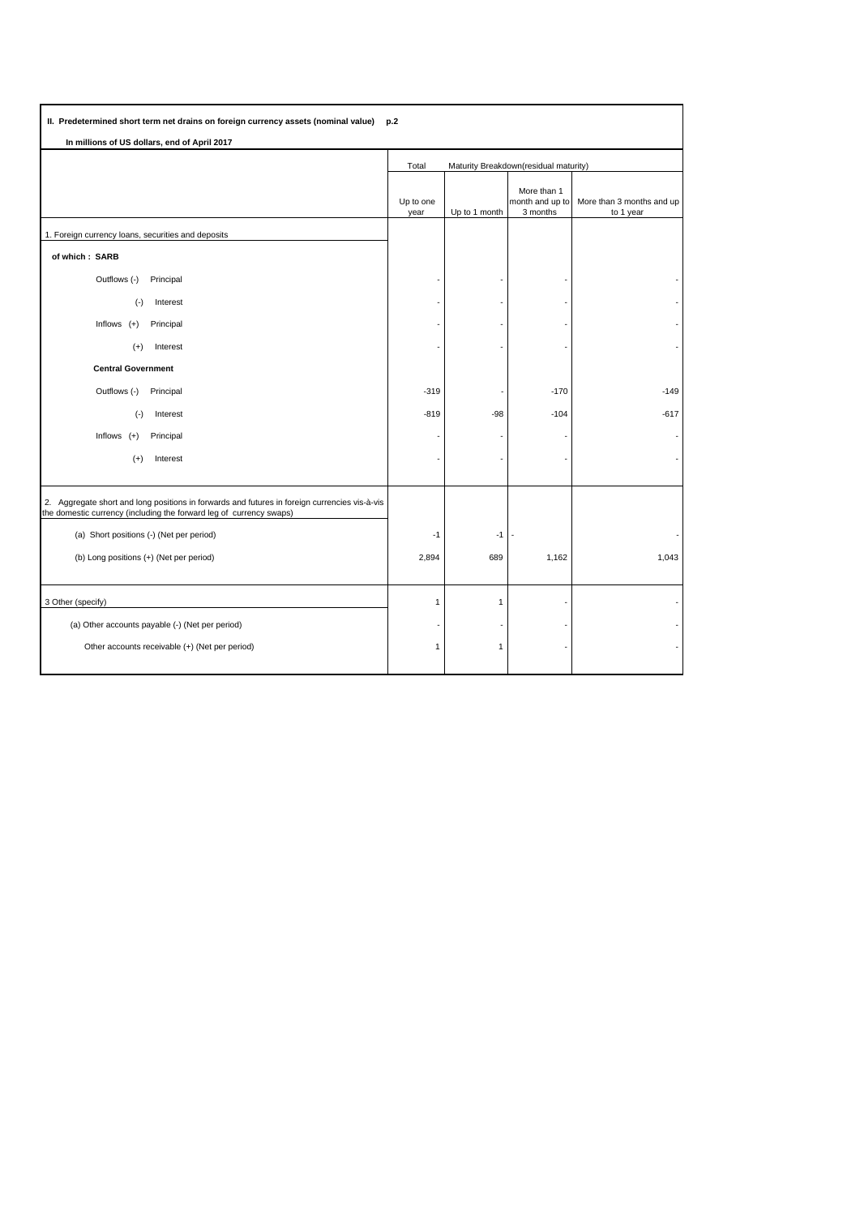| II. Predetermined short term net drains on foreign currency assets (nominal value)<br>p.2                                                                            |                                                |               |                                            |                                        |
|----------------------------------------------------------------------------------------------------------------------------------------------------------------------|------------------------------------------------|---------------|--------------------------------------------|----------------------------------------|
| In millions of US dollars, end of April 2017                                                                                                                         |                                                |               |                                            |                                        |
|                                                                                                                                                                      | Total<br>Maturity Breakdown(residual maturity) |               |                                            |                                        |
|                                                                                                                                                                      | Up to one<br>year                              | Up to 1 month | More than 1<br>month and up to<br>3 months | More than 3 months and up<br>to 1 year |
| 1. Foreign currency loans, securities and deposits                                                                                                                   |                                                |               |                                            |                                        |
| of which: SARB                                                                                                                                                       |                                                |               |                                            |                                        |
| Outflows (-)<br>Principal                                                                                                                                            |                                                |               |                                            |                                        |
| $(-)$<br>Interest                                                                                                                                                    |                                                |               |                                            |                                        |
| Inflows $(+)$<br>Principal                                                                                                                                           |                                                |               |                                            |                                        |
| $(+)$<br>Interest                                                                                                                                                    |                                                |               |                                            |                                        |
| <b>Central Government</b>                                                                                                                                            |                                                |               |                                            |                                        |
| Outflows (-)<br>Principal                                                                                                                                            | $-319$                                         |               | $-170$                                     | $-149$                                 |
| $(-)$<br>Interest                                                                                                                                                    | $-819$                                         | -98           | $-104$                                     | $-617$                                 |
| Inflows $(+)$<br>Principal                                                                                                                                           |                                                |               |                                            |                                        |
| $(+)$<br>Interest                                                                                                                                                    |                                                |               |                                            |                                        |
|                                                                                                                                                                      |                                                |               |                                            |                                        |
| 2. Aggregate short and long positions in forwards and futures in foreign currencies vis-à-vis<br>the domestic currency (including the forward leg of currency swaps) |                                                |               |                                            |                                        |
| (a) Short positions (-) (Net per period)                                                                                                                             | $-1$                                           | $-1$          |                                            |                                        |
| (b) Long positions (+) (Net per period)                                                                                                                              | 2,894                                          | 689           | 1,162                                      | 1,043                                  |
|                                                                                                                                                                      |                                                |               |                                            |                                        |
| 3 Other (specify)                                                                                                                                                    | $\mathbf{1}$                                   | 1             |                                            |                                        |
| (a) Other accounts payable (-) (Net per period)                                                                                                                      |                                                |               |                                            |                                        |
| Other accounts receivable (+) (Net per period)                                                                                                                       | $\mathbf{1}$                                   | 1             |                                            |                                        |
|                                                                                                                                                                      |                                                |               |                                            |                                        |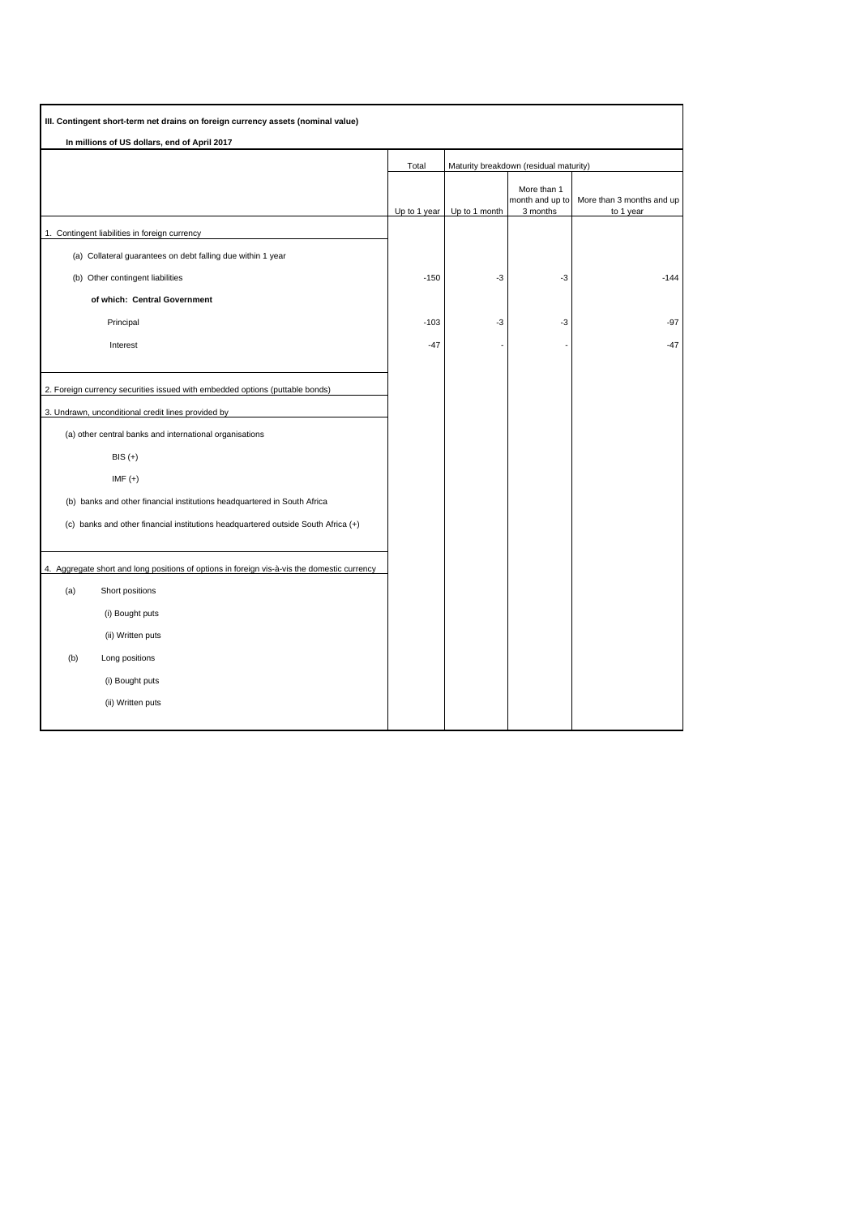| III. Contingent short-term net drains on foreign currency assets (nominal value)            |              |               |                                            |                                        |
|---------------------------------------------------------------------------------------------|--------------|---------------|--------------------------------------------|----------------------------------------|
| In millions of US dollars, end of April 2017                                                |              |               |                                            |                                        |
|                                                                                             | Total        |               | Maturity breakdown (residual maturity)     |                                        |
|                                                                                             | Up to 1 year | Up to 1 month | More than 1<br>month and up to<br>3 months | More than 3 months and up<br>to 1 year |
| 1. Contingent liabilities in foreign currency                                               |              |               |                                            |                                        |
| (a) Collateral guarantees on debt falling due within 1 year                                 |              |               |                                            |                                        |
| (b) Other contingent liabilities                                                            | $-150$       | -3            | $-3$                                       | $-144$                                 |
| of which: Central Government                                                                |              |               |                                            |                                        |
| Principal                                                                                   | $-103$       | $-3$          | -3                                         | $-97$                                  |
| Interest                                                                                    | $-47$        |               |                                            | $-47$                                  |
|                                                                                             |              |               |                                            |                                        |
| 2. Foreign currency securities issued with embedded options (puttable bonds)                |              |               |                                            |                                        |
| 3. Undrawn, unconditional credit lines provided by                                          |              |               |                                            |                                        |
| (a) other central banks and international organisations                                     |              |               |                                            |                                        |
| $BIS (+)$                                                                                   |              |               |                                            |                                        |
| $IMF (+)$                                                                                   |              |               |                                            |                                        |
| (b) banks and other financial institutions headquartered in South Africa                    |              |               |                                            |                                        |
| (c) banks and other financial institutions headquartered outside South Africa (+)           |              |               |                                            |                                        |
|                                                                                             |              |               |                                            |                                        |
| 4. Aggregate short and long positions of options in foreign vis-à-vis the domestic currency |              |               |                                            |                                        |
| (a)<br>Short positions                                                                      |              |               |                                            |                                        |
| (i) Bought puts                                                                             |              |               |                                            |                                        |
| (ii) Written puts                                                                           |              |               |                                            |                                        |
| (b)<br>Long positions                                                                       |              |               |                                            |                                        |
| (i) Bought puts                                                                             |              |               |                                            |                                        |
| (ii) Written puts                                                                           |              |               |                                            |                                        |
|                                                                                             |              |               |                                            |                                        |